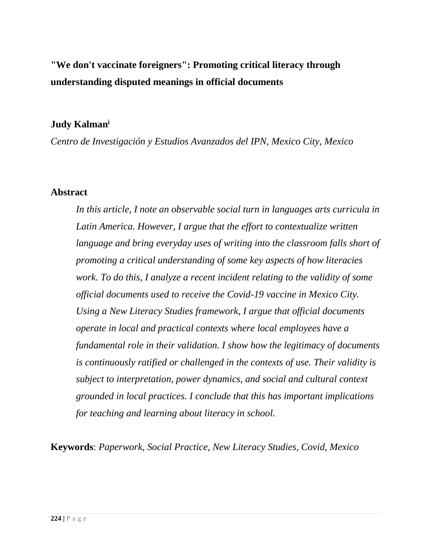# **"We don't vaccinate foreigners": Promoting critical literacy through understanding disputed meanings in official documents**

### **Judy Kalman<sup>i</sup>**

*Centro de Investigación y Estudios Avanzados del IPN, Mexico City, Mexico*

### **Abstract**

*In this article, I note an observable social turn in languages arts curricula in Latin America. However, I argue that the effort to contextualize written language and bring everyday uses of writing into the classroom falls short of promoting a critical understanding of some key aspects of how literacies work. To do this, I analyze a recent incident relating to the validity of some official documents used to receive the Covid-19 vaccine in Mexico City. Using a New Literacy Studies framework, I argue that official documents operate in local and practical contexts where local employees have a fundamental role in their validation. I show how the legitimacy of documents is continuously ratified or challenged in the contexts of use. Their validity is subject to interpretation, power dynamics, and social and cultural context grounded in local practices. I conclude that this has important implications for teaching and learning about literacy in school.*

**Keywords**: *Paperwork, Social Practice, New Literacy Studies, Covid, Mexico*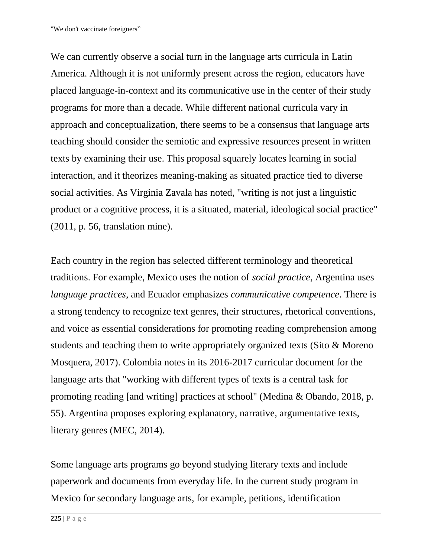We can currently observe a social turn in the language arts curricula in Latin America. Although it is not uniformly present across the region, educators have placed language-in-context and its communicative use in the center of their study programs for more than a decade. While different national curricula vary in approach and conceptualization, there seems to be a consensus that language arts teaching should consider the semiotic and expressive resources present in written texts by examining their use. This proposal squarely locates learning in social interaction, and it theorizes meaning-making as situated practice tied to diverse social activities. As Virginia Zavala has noted, "writing is not just a linguistic product or a cognitive process, it is a situated, material, ideological social practice" (2011, p. 56, translation mine).

Each country in the region has selected different terminology and theoretical traditions. For example, Mexico uses the notion of *social practice*, Argentina uses *language practices*, and Ecuador emphasizes *communicative competence*. There is a strong tendency to recognize text genres, their structures, rhetorical conventions, and voice as essential considerations for promoting reading comprehension among students and teaching them to write appropriately organized texts (Sito & Moreno Mosquera, 2017). Colombia notes in its 2016-2017 curricular document for the language arts that "working with different types of texts is a central task for promoting reading [and writing] practices at school" (Medina & Obando, 2018, p. 55). Argentina proposes exploring explanatory, narrative, argumentative texts, literary genres (MEC, 2014).

Some language arts programs go beyond studying literary texts and include paperwork and documents from everyday life. In the current study program in Mexico for secondary language arts, for example, petitions, identification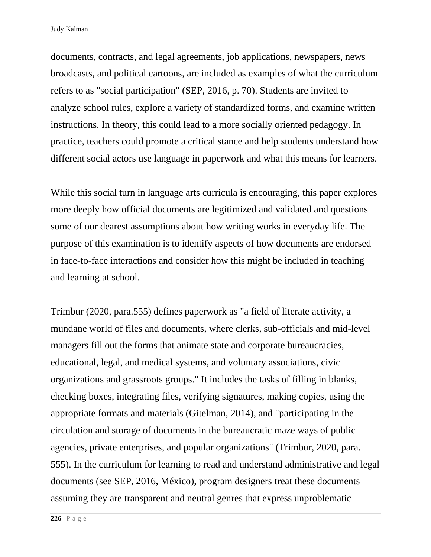documents, contracts, and legal agreements, job applications, newspapers, news broadcasts, and political cartoons, are included as examples of what the curriculum refers to as "social participation" (SEP, 2016, p. 70). Students are invited to analyze school rules, explore a variety of standardized forms, and examine written instructions. In theory, this could lead to a more socially oriented pedagogy. In practice, teachers could promote a critical stance and help students understand how different social actors use language in paperwork and what this means for learners.

While this social turn in language arts curricula is encouraging, this paper explores more deeply how official documents are legitimized and validated and questions some of our dearest assumptions about how writing works in everyday life. The purpose of this examination is to identify aspects of how documents are endorsed in face-to-face interactions and consider how this might be included in teaching and learning at school.

Trimbur (2020, para.555) defines paperwork as "a field of literate activity, a mundane world of files and documents, where clerks, sub-officials and mid-level managers fill out the forms that animate state and corporate bureaucracies, educational, legal, and medical systems, and voluntary associations, civic organizations and grassroots groups." It includes the tasks of filling in blanks, checking boxes, integrating files, verifying signatures, making copies, using the appropriate formats and materials (Gitelman, 2014), and "participating in the circulation and storage of documents in the bureaucratic maze ways of public agencies, private enterprises, and popular organizations" (Trimbur, 2020, para. 555). In the curriculum for learning to read and understand administrative and legal documents (see SEP, 2016, México), program designers treat these documents assuming they are transparent and neutral genres that express unproblematic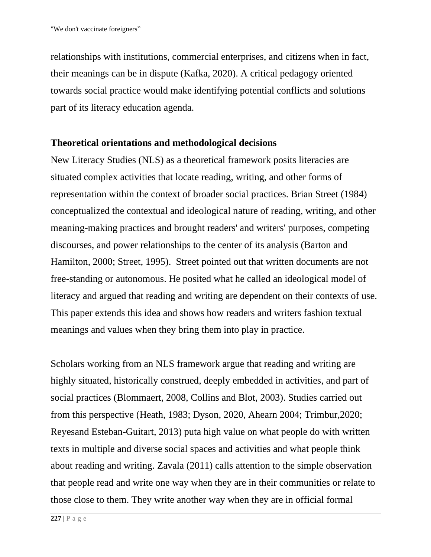relationships with institutions, commercial enterprises, and citizens when in fact, their meanings can be in dispute (Kafka, 2020). A critical pedagogy oriented towards social practice would make identifying potential conflicts and solutions part of its literacy education agenda.

### **Theoretical orientations and methodological decisions**

New Literacy Studies (NLS) as a theoretical framework posits literacies are situated complex activities that locate reading, writing, and other forms of representation within the context of broader social practices. Brian Street (1984) conceptualized the contextual and ideological nature of reading, writing, and other meaning-making practices and brought readers' and writers' purposes, competing discourses, and power relationships to the center of its analysis (Barton and Hamilton, 2000; Street, 1995). Street pointed out that written documents are not free-standing or autonomous. He posited what he called an ideological model of literacy and argued that reading and writing are dependent on their contexts of use. This paper extends this idea and shows how readers and writers fashion textual meanings and values when they bring them into play in practice.

Scholars working from an NLS framework argue that reading and writing are highly situated, historically construed, deeply embedded in activities, and part of social practices (Blommaert, 2008, Collins and Blot, 2003). Studies carried out from this perspective (Heath, 1983; Dyson, 2020, Ahearn 2004; Trimbur,2020; Reyesand Esteban-Guitart, 2013) puta high value on what people do with written texts in multiple and diverse social spaces and activities and what people think about reading and writing. Zavala (2011) calls attention to the simple observation that people read and write one way when they are in their communities or relate to those close to them. They write another way when they are in official formal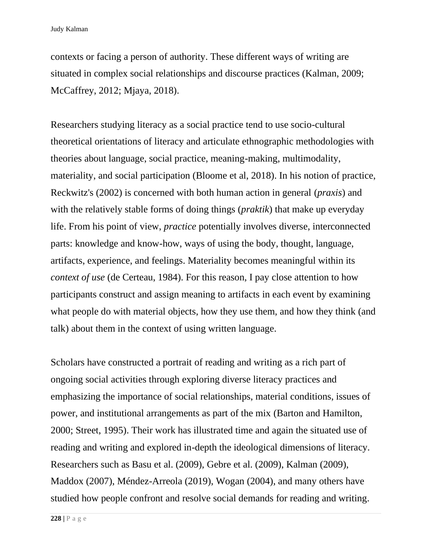contexts or facing a person of authority. These different ways of writing are situated in complex social relationships and discourse practices (Kalman, 2009; McCaffrey, 2012; Mjaya, 2018).

Researchers studying literacy as a social practice tend to use socio-cultural theoretical orientations of literacy and articulate ethnographic methodologies with theories about language, social practice, meaning-making, multimodality, materiality, and social participation (Bloome et al, 2018). In his notion of practice, Reckwitz's (2002) is concerned with both human action in general (*praxis*) and with the relatively stable forms of doing things (*praktik*) that make up everyday life. From his point of view, *practice* potentially involves diverse, interconnected parts: knowledge and know-how, ways of using the body, thought, language, artifacts, experience, and feelings. Materiality becomes meaningful within its *context of use* (de Certeau, 1984). For this reason, I pay close attention to how participants construct and assign meaning to artifacts in each event by examining what people do with material objects, how they use them, and how they think (and talk) about them in the context of using written language.

Scholars have constructed a portrait of reading and writing as a rich part of ongoing social activities through exploring diverse literacy practices and emphasizing the importance of social relationships, material conditions, issues of power, and institutional arrangements as part of the mix (Barton and Hamilton, 2000; Street, 1995). Their work has illustrated time and again the situated use of reading and writing and explored in-depth the ideological dimensions of literacy. Researchers such as Basu et al. (2009), Gebre et al. (2009), Kalman (2009), Maddox (2007), Méndez-Arreola (2019), Wogan (2004), and many others have studied how people confront and resolve social demands for reading and writing.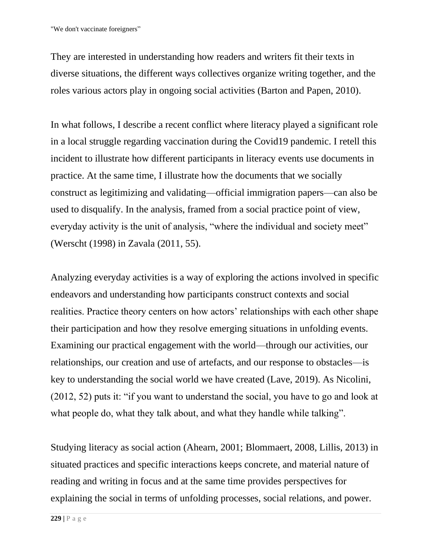They are interested in understanding how readers and writers fit their texts in diverse situations, the different ways collectives organize writing together, and the roles various actors play in ongoing social activities (Barton and Papen, 2010).

In what follows, I describe a recent conflict where literacy played a significant role in a local struggle regarding vaccination during the Covid19 pandemic. I retell this incident to illustrate how different participants in literacy events use documents in practice. At the same time, I illustrate how the documents that we socially construct as legitimizing and validating—official immigration papers—can also be used to disqualify. In the analysis, framed from a social practice point of view, everyday activity is the unit of analysis, "where the individual and society meet" (Werscht (1998) in Zavala (2011, 55).

Analyzing everyday activities is a way of exploring the actions involved in specific endeavors and understanding how participants construct contexts and social realities. Practice theory centers on how actors' relationships with each other shape their participation and how they resolve emerging situations in unfolding events. Examining our practical engagement with the world—through our activities, our relationships, our creation and use of artefacts, and our response to obstacles—is key to understanding the social world we have created (Lave, 2019). As Nicolini, (2012, 52) puts it: "if you want to understand the social, you have to go and look at what people do, what they talk about, and what they handle while talking".

Studying literacy as social action (Ahearn, 2001; Blommaert, 2008, Lillis, 2013) in situated practices and specific interactions keeps concrete, and material nature of reading and writing in focus and at the same time provides perspectives for explaining the social in terms of unfolding processes, social relations, and power.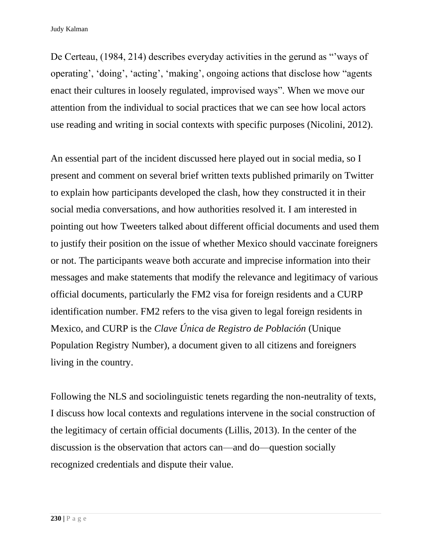De Certeau, (1984, 214) describes everyday activities in the gerund as "'ways of operating', 'doing', 'acting', 'making', ongoing actions that disclose how "agents enact their cultures in loosely regulated, improvised ways". When we move our attention from the individual to social practices that we can see how local actors use reading and writing in social contexts with specific purposes (Nicolini, 2012).

An essential part of the incident discussed here played out in social media, so I present and comment on several brief written texts published primarily on Twitter to explain how participants developed the clash, how they constructed it in their social media conversations, and how authorities resolved it. I am interested in pointing out how Tweeters talked about different official documents and used them to justify their position on the issue of whether Mexico should vaccinate foreigners or not. The participants weave both accurate and imprecise information into their messages and make statements that modify the relevance and legitimacy of various official documents, particularly the FM2 visa for foreign residents and a CURP identification number. FM2 refers to the visa given to legal foreign residents in Mexico, and CURP is the *Clave Única de Registro de Población* (Unique Population Registry Number), a document given to all citizens and foreigners living in the country.

Following the NLS and sociolinguistic tenets regarding the non-neutrality of texts, I discuss how local contexts and regulations intervene in the social construction of the legitimacy of certain official documents (Lillis, 2013). In the center of the discussion is the observation that actors can—and do—question socially recognized credentials and dispute their value.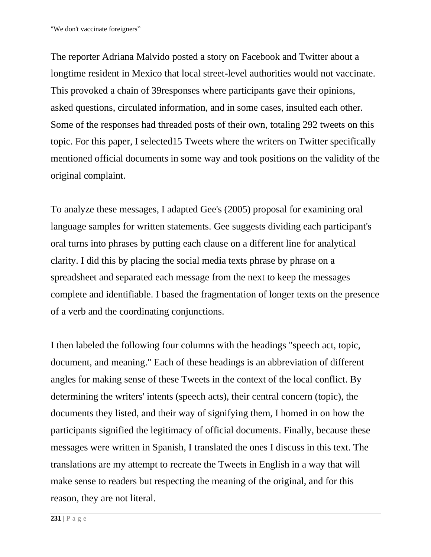The reporter Adriana Malvido posted a story on Facebook and Twitter about a longtime resident in Mexico that local street-level authorities would not vaccinate. This provoked a chain of 39responses where participants gave their opinions, asked questions, circulated information, and in some cases, insulted each other. Some of the responses had threaded posts of their own, totaling 292 tweets on this topic. For this paper, I selected15 Tweets where the writers on Twitter specifically mentioned official documents in some way and took positions on the validity of the original complaint.

To analyze these messages, I adapted Gee's (2005) proposal for examining oral language samples for written statements. Gee suggests dividing each participant's oral turns into phrases by putting each clause on a different line for analytical clarity. I did this by placing the social media texts phrase by phrase on a spreadsheet and separated each message from the next to keep the messages complete and identifiable. I based the fragmentation of longer texts on the presence of a verb and the coordinating conjunctions.

I then labeled the following four columns with the headings "speech act, topic, document, and meaning." Each of these headings is an abbreviation of different angles for making sense of these Tweets in the context of the local conflict. By determining the writers' intents (speech acts), their central concern (topic), the documents they listed, and their way of signifying them, I homed in on how the participants signified the legitimacy of official documents. Finally, because these messages were written in Spanish, I translated the ones I discuss in this text. The translations are my attempt to recreate the Tweets in English in a way that will make sense to readers but respecting the meaning of the original, and for this reason, they are not literal.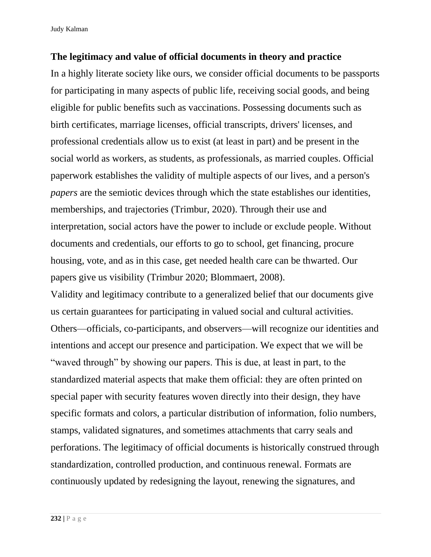Judy Kalman

### **The legitimacy and value of official documents in theory and practice**

In a highly literate society like ours, we consider official documents to be passports for participating in many aspects of public life, receiving social goods, and being eligible for public benefits such as vaccinations. Possessing documents such as birth certificates, marriage licenses, official transcripts, drivers' licenses, and professional credentials allow us to exist (at least in part) and be present in the social world as workers, as students, as professionals, as married couples. Official paperwork establishes the validity of multiple aspects of our lives, and a person's *papers* are the semiotic devices through which the state establishes our identities, memberships, and trajectories (Trimbur, 2020). Through their use and interpretation, social actors have the power to include or exclude people. Without documents and credentials, our efforts to go to school, get financing, procure housing, vote, and as in this case, get needed health care can be thwarted. Our papers give us visibility (Trimbur 2020; Blommaert, 2008).

Validity and legitimacy contribute to a generalized belief that our documents give us certain guarantees for participating in valued social and cultural activities. Others—officials, co-participants, and observers—will recognize our identities and intentions and accept our presence and participation. We expect that we will be "waved through" by showing our papers. This is due, at least in part, to the standardized material aspects that make them official: they are often printed on special paper with security features woven directly into their design, they have specific formats and colors, a particular distribution of information, folio numbers, stamps, validated signatures, and sometimes attachments that carry seals and perforations. The legitimacy of official documents is historically construed through standardization, controlled production, and continuous renewal. Formats are continuously updated by redesigning the layout, renewing the signatures, and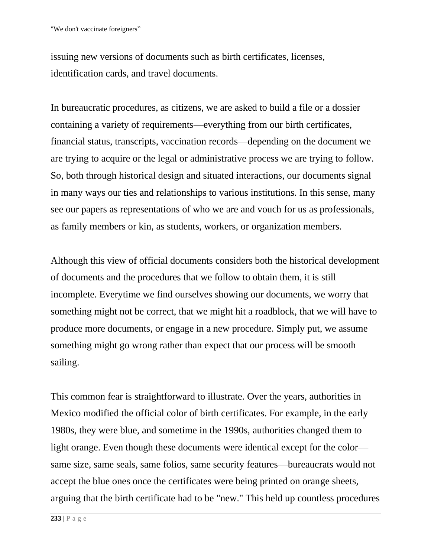issuing new versions of documents such as birth certificates, licenses, identification cards, and travel documents.

In bureaucratic procedures, as citizens, we are asked to build a file or a dossier containing a variety of requirements—everything from our birth certificates, financial status, transcripts, vaccination records—depending on the document we are trying to acquire or the legal or administrative process we are trying to follow. So, both through historical design and situated interactions, our documents signal in many ways our ties and relationships to various institutions. In this sense, many see our papers as representations of who we are and vouch for us as professionals, as family members or kin, as students, workers, or organization members.

Although this view of official documents considers both the historical development of documents and the procedures that we follow to obtain them, it is still incomplete. Everytime we find ourselves showing our documents, we worry that something might not be correct, that we might hit a roadblock, that we will have to produce more documents, or engage in a new procedure. Simply put, we assume something might go wrong rather than expect that our process will be smooth sailing.

This common fear is straightforward to illustrate. Over the years, authorities in Mexico modified the official color of birth certificates. For example, in the early 1980s, they were blue, and sometime in the 1990s, authorities changed them to light orange. Even though these documents were identical except for the color same size, same seals, same folios, same security features—bureaucrats would not accept the blue ones once the certificates were being printed on orange sheets, arguing that the birth certificate had to be "new." This held up countless procedures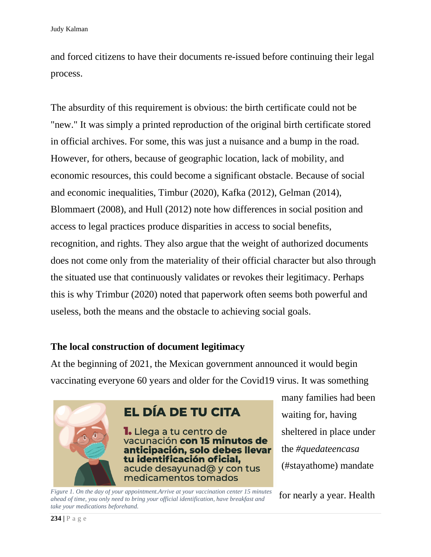and forced citizens to have their documents re-issued before continuing their legal process.

The absurdity of this requirement is obvious: the birth certificate could not be "new." It was simply a printed reproduction of the original birth certificate stored in official archives. For some, this was just a nuisance and a bump in the road. However, for others, because of geographic location, lack of mobility, and economic resources, this could become a significant obstacle. Because of social and economic inequalities, Timbur (2020), Kafka (2012), Gelman (2014), Blommaert (2008), and Hull (2012) note how differences in social position and access to legal practices produce disparities in access to social benefits, recognition, and rights. They also argue that the weight of authorized documents does not come only from the materiality of their official character but also through the situated use that continuously validates or revokes their legitimacy. Perhaps this is why Trimbur (2020) noted that paperwork often seems both powerful and useless, both the means and the obstacle to achieving social goals.

## **The local construction of document legitimacy**

At the beginning of 2021, the Mexican government announced it would begin vaccinating everyone 60 years and older for the Covid19 virus. It was something



*Figure 1. On the day of your appointment.Arrive at your vaccination center 15 minutes ahead of time, you only need to bring your official identification, have breakfast and take your medications beforehand.* 

many families had been waiting for, having sheltered in place under the *#quedateencasa*  (#stayathome) mandate

for nearly a year. Health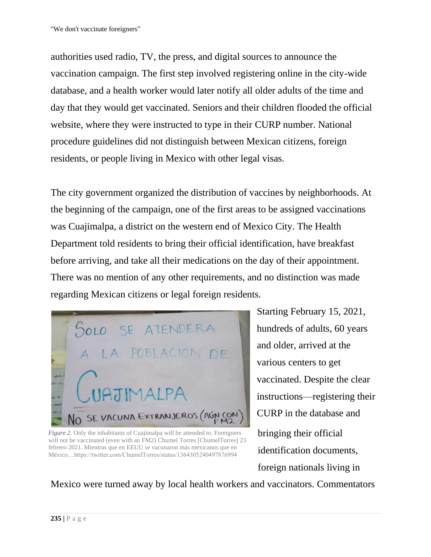authorities used radio, TV, the press, and digital sources to announce the vaccination campaign. The first step involved registering online in the city-wide database, and a health worker would later notify all older adults of the time and day that they would get vaccinated. Seniors and their children flooded the official website, where they were instructed to type in their CURP number. National procedure guidelines did not distinguish between Mexican citizens, foreign residents, or people living in Mexico with other legal visas.

The city government organized the distribution of vaccines by neighborhoods. At the beginning of the campaign, one of the first areas to be assigned vaccinations was Cuajimalpa, a district on the western end of Mexico City. The Health Department told residents to bring their official identification, have breakfast before arriving, and take all their medications on the day of their appointment. There was no mention of any other requirements, and no distinction was made regarding Mexican citizens or legal foreign residents.



*Figure 2.* Only the inhabitants of Cuajimalpa will be attended to. Foreigners will not be vaccinated (even with an FM2) Chumel Torres [ChumelTorres] 23 febrero 2021. Mientras que en EEUU se vacunaron más mexicanos que en México…https://twitter.com/ChumelTorres/status/1364305240497876994

Starting February 15, 2021, hundreds of adults, 60 years and older, arrived at the various centers to get vaccinated. Despite the clear instructions—registering their CURP in the database and bringing their official identification documents, foreign nationals living in

Mexico were turned away by local health workers and vaccinators. Commentators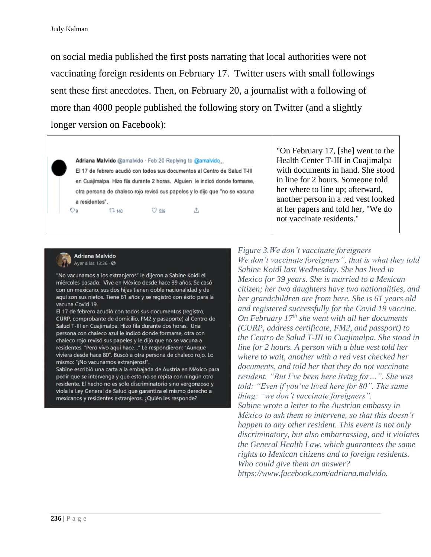on social media published the first posts narrating that local authorities were not vaccinating foreign residents on February 17. Twitter users with small followings sent these first anecdotes. Then, on February 20, a journalist with a following of more than 4000 people published the following story on Twitter (and a slightly longer version on Facebook):

#### Adriana Malvido @amalvido · Feb 20 Replying to @amalvido

El 17 de febrero acudió con todos sus documentos al Centro de Salud T-III en Cuajimalpa. Hizo fila durante 2 horas. Alguien le indicó donde formarse, otra persona de chaleco rojo revisó sus papeles y le dijo que "no se vacuna a residentes". Og.

Λ.

 $O$  539

"On February 17, [she] went to the Health Center T-III in Cuajimalpa with documents in hand. She stood in line for 2 hours. Someone told her where to line up; afterward, another person in a red vest looked at her papers and told her, "We do not vaccinate residents."



**Adriana Malvido** Ayer a las  $13:36 \cdot \textcircled{3}$ 

 $17.140$ 

"No vacunamos a los extranjeros" le dijeron a Sabine Koidl el miércoles pasado. Vive en México desde hace 39 años. Se casó con un mexicano, sus dos hijas tienen doble nacionalidad y de aquí son sus nietos. Tiene 61 años y se registró con éxito para la vacuna Covid 19.

El 17 de febrero acudió con todos sus documentos (registro, CURP, comprobante de domicilio, FM2 y pasaporte) al Centro de Salud T-III en Cuajimalpa. Hizo fila durante dos horas. Una persona con chaleco azul le indicó donde formarse, otra con chaleco rojo revisó sus papeles y le dijo que no se vacuna a residentes. "Pero vivo aquí hace..." Le respondieron: "Aunque viviera desde hace 80". Buscó a otra persona de chaleco rojo. Lo mismo: "¡No vacunamos extranjeros!".

Sabine escribió una carta a la embajada de Austria en México para pedir que se intervenga y que esto no se repita con ningún otro residente. El hecho no es solo discriminatorio sino vergonzoso y viola la Ley General de Salud que garantiza el mismo derecho a mexicanos y residentes extranjeros. ¿Quién les responde?

*Figure 3.We don't vaccinate foreigners We don't vaccinate foreigners", that is what they told Sabine Koidl last Wednesday. She has lived in Mexico for 39 years. She is married to a Mexican citizen; her two daughters have two nationalities, and her grandchildren are from here. She is 61 years old and registered successfully for the Covid 19 vaccine. On February 17th she went with all her documents (CURP, address certificate, FM2, and passport) to the Centro de Salud T-III in Cuajimalpa. She stood in line for 2 hours. A person with a blue vest told her where to wait, another with a red vest checked her documents, and told her that they do not vaccinate resident. "But I've been here living for…". She was told: "Even if you've lived here for 80". The same thing: "we don't vaccinate foreigners". Sabine wrote a letter to the Austrian embassy in México to ask them to intervene, so that this doesn't happen to any other resident. This event is not only discriminatory, but also embarrassing, and it violates the General Health Law, which guarantees the same rights to Mexican citizens and to foreign residents. Who could give them an answer? https://www.facebook.com/adriana.malvido.*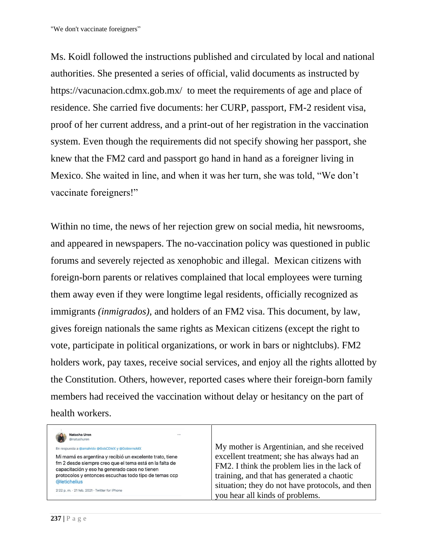"We don't vaccinate foreigners"

Ms. Koidl followed the instructions published and circulated by local and national authorities. She presented a series of official, valid documents as instructed by https://vacunacion.cdmx.gob.mx/ to meet the requirements of age and place of residence. She carried five documents: her CURP, passport, FM-2 resident visa, proof of her current address, and a print-out of her registration in the vaccination system. Even though the requirements did not specify showing her passport, she knew that the FM2 card and passport go hand in hand as a foreigner living in Mexico. She waited in line, and when it was her turn, she was told, "We don't vaccinate foreigners!"

Within no time, the news of her rejection grew on social media, hit newsrooms, and appeared in newspapers. The no-vaccination policy was questioned in public forums and severely rejected as xenophobic and illegal. Mexican citizens with foreign-born parents or relatives complained that local employees were turning them away even if they were longtime legal residents, officially recognized as immigrants *(inmigrados),* and holders of an FM2 visa. This document, by law, gives foreign nationals the same rights as Mexican citizens (except the right to vote, participate in political organizations, or work in bars or nightclubs). FM2 holders work, pay taxes, receive social services, and enjoy all the rights allotted by the Constitution. Others, however, reported cases where their foreign-born family members had received the vaccination without delay or hesitancy on the part of health workers.

| Natasha Uren<br><br>@natushuren                                                                                                                                                                                                               |                                                                                                                                          |
|-----------------------------------------------------------------------------------------------------------------------------------------------------------------------------------------------------------------------------------------------|------------------------------------------------------------------------------------------------------------------------------------------|
| En respuesta a @amalvido @GobCDMX y @GobiernoMX                                                                                                                                                                                               | My mother is Argentinian, and she received                                                                                               |
| Mi mamá es argentina y recibió un excelente trato, tiene<br>fm 2 desde siempre creo que el tema está en la falta de<br>capacitación y eso ha generado caos no tienen<br>protocolos y entonces escuchas todo tipo de temas ccp<br>@letichelius | excellent treatment; she has always had an<br>FM2. I think the problem lies in the lack of<br>training, and that has generated a chaotic |
| 2:22 p.m. - 21 feb. 2021 - Twitter for iPhone                                                                                                                                                                                                 | situation; they do not have protocols, and then<br>you hear all kinds of problems.                                                       |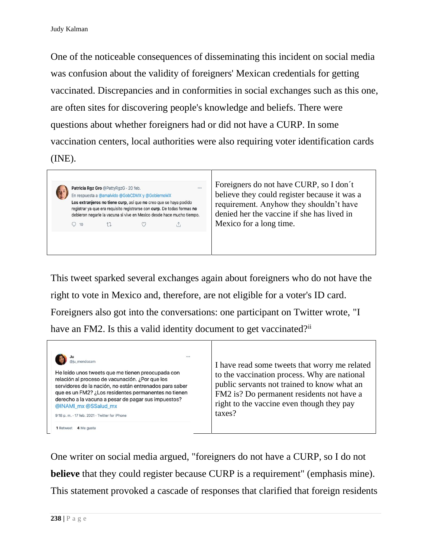One of the noticeable consequences of disseminating this incident on social media was confusion about the validity of foreigners' Mexican credentials for getting vaccinated. Discrepancies and in conformities in social exchanges such as this one, are often sites for discovering people's knowledge and beliefs. There were questions about whether foreigners had or did not have a CURP. In some vaccination centers, local authorities were also requiring voter identification cards (INE).

Foreigners do not have CURP, so I don´t  $\dddot{\phantom{0}}$ Patricia Rgz Gro @PattyRgzG · 20 feb. believe they could register because it was a En respuesta a @amalvido @GobCDMX y @GobiernoMX Los extranjeros no tiene curp, así que no creo que se haya podido requirement. Anyhow they shouldn't have registrar ya que era requisito registrarse con curp. De todas formas no denied her the vaccine if she has lived in debieron negarle la vacuna si vive en Mexico desde hace mucho tiempo. Mexico for a long time.  $Q$  10  $\circ$  $\mathbb{C}$  $\uparrow$ 

This tweet sparked several exchanges again about foreigners who do not have the right to vote in Mexico and, therefore, are not eligible for a voter's ID card. Foreigners also got into the conversations: one participant on Twitter wrote, "I have an FM2. Is this a valid identity document to get vaccinated?<sup>ii</sup>

| <br>mendozam<br>He leído unos tweets que me tienen preocupada con<br>relación al proceso de vacunación. ¿Por que los<br>servidores de la nación, no están entrenados para saber<br>gue es un FM2? ¿Los residentes permanentes no tienen<br>derecho a la vacuna a pesar de pagar sus impuestos?<br>@INAMI_mx @SSalud_mx<br>9:18 p.m. - 17 feb. 2021 - Twitter for iPhone<br>4 Me gusta<br>1 Retweet | I have read some tweets that worry me related<br>to the vaccination process. Why are national<br>public servants not trained to know what an<br>FM2 is? Do permanent residents not have a<br>right to the vaccine even though they pay<br>taxes? |
|----------------------------------------------------------------------------------------------------------------------------------------------------------------------------------------------------------------------------------------------------------------------------------------------------------------------------------------------------------------------------------------------------|--------------------------------------------------------------------------------------------------------------------------------------------------------------------------------------------------------------------------------------------------|
|----------------------------------------------------------------------------------------------------------------------------------------------------------------------------------------------------------------------------------------------------------------------------------------------------------------------------------------------------------------------------------------------------|--------------------------------------------------------------------------------------------------------------------------------------------------------------------------------------------------------------------------------------------------|

One writer on social media argued, "foreigners do not have a CURP, so I do not **believe** that they could register because CURP is a requirement" (emphasis mine). This statement provoked a cascade of responses that clarified that foreign residents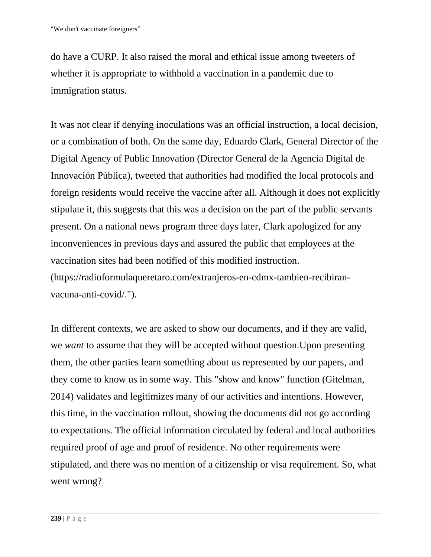do have a CURP. It also raised the moral and ethical issue among tweeters of whether it is appropriate to withhold a vaccination in a pandemic due to immigration status.

It was not clear if denying inoculations was an official instruction, a local decision, or a combination of both. On the same day, Eduardo Clark, General Director of the Digital Agency of Public Innovation (Director General de la Agencia Digital de Innovación Pública), tweeted that authorities had modified the local protocols and foreign residents would receive the vaccine after all. Although it does not explicitly stipulate it, this suggests that this was a decision on the part of the public servants present. On a national news program three days later, Clark apologized for any inconveniences in previous days and assured the public that employees at the vaccination sites had been notified of this modified instruction. [\(https://radioformulaqueretaro.com/extranjeros-en-](https://radioformulaqueretaro.com/extranjeros-en)cdmx-tambien-recibiranvacuna-anti-covid/.").

In different contexts, we are asked to show our documents, and if they are valid, we *want* to assume that they will be accepted without question.Upon presenting them, the other parties learn something about us represented by our papers, and they come to know us in some way. This "show and know" function (Gitelman, 2014) validates and legitimizes many of our activities and intentions. However, this time, in the vaccination rollout, showing the documents did not go according to expectations. The official information circulated by federal and local authorities required proof of age and proof of residence. No other requirements were stipulated, and there was no mention of a citizenship or visa requirement. So, what went wrong?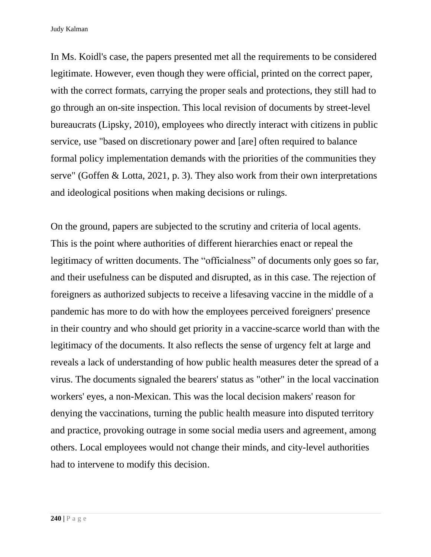In Ms. Koidl's case, the papers presented met all the requirements to be considered legitimate. However, even though they were official, printed on the correct paper, with the correct formats, carrying the proper seals and protections, they still had to go through an on-site inspection. This local revision of documents by street-level bureaucrats (Lipsky, 2010), employees who directly interact with citizens in public service, use "based on discretionary power and [are] often required to balance formal policy implementation demands with the priorities of the communities they serve" (Goffen & Lotta, 2021, p. 3). They also work from their own interpretations and ideological positions when making decisions or rulings.

On the ground, papers are subjected to the scrutiny and criteria of local agents. This is the point where authorities of different hierarchies enact or repeal the legitimacy of written documents. The "officialness" of documents only goes so far, and their usefulness can be disputed and disrupted, as in this case. The rejection of foreigners as authorized subjects to receive a lifesaving vaccine in the middle of a pandemic has more to do with how the employees perceived foreigners' presence in their country and who should get priority in a vaccine-scarce world than with the legitimacy of the documents. It also reflects the sense of urgency felt at large and reveals a lack of understanding of how public health measures deter the spread of a virus. The documents signaled the bearers' status as "other" in the local vaccination workers' eyes, a non-Mexican. This was the local decision makers' reason for denying the vaccinations, turning the public health measure into disputed territory and practice, provoking outrage in some social media users and agreement, among others. Local employees would not change their minds, and city-level authorities had to intervene to modify this decision.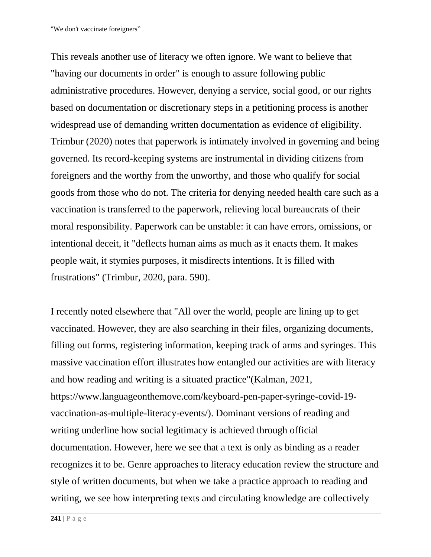This reveals another use of literacy we often ignore. We want to believe that "having our documents in order" is enough to assure following public administrative procedures. However, denying a service, social good, or our rights based on documentation or discretionary steps in a petitioning process is another widespread use of demanding written documentation as evidence of eligibility. Trimbur (2020) notes that paperwork is intimately involved in governing and being governed. Its record-keeping systems are instrumental in dividing citizens from foreigners and the worthy from the unworthy, and those who qualify for social goods from those who do not. The criteria for denying needed health care such as a vaccination is transferred to the paperwork, relieving local bureaucrats of their moral responsibility. Paperwork can be unstable: it can have errors, omissions, or intentional deceit, it "deflects human aims as much as it enacts them. It makes people wait, it stymies purposes, it misdirects intentions. It is filled with frustrations" (Trimbur, 2020, para. 590).

I recently noted elsewhere that "All over the world, people are lining up to get vaccinated. However, they are also searching in their files, organizing documents, filling out forms, registering information, keeping track of arms and syringes. This massive vaccination effort illustrates how entangled our activities are with literacy and how reading and writing is a situated practice"(Kalman, 2021, https://www.languageonthemove.com/keyboard-pen-paper-syringe-covid-19 vaccination-as-multiple-literacy-events/). Dominant versions of reading and writing underline how social legitimacy is achieved through official documentation. However, here we see that a text is only as binding as a reader recognizes it to be. Genre approaches to literacy education review the structure and style of written documents, but when we take a practice approach to reading and writing, we see how interpreting texts and circulating knowledge are collectively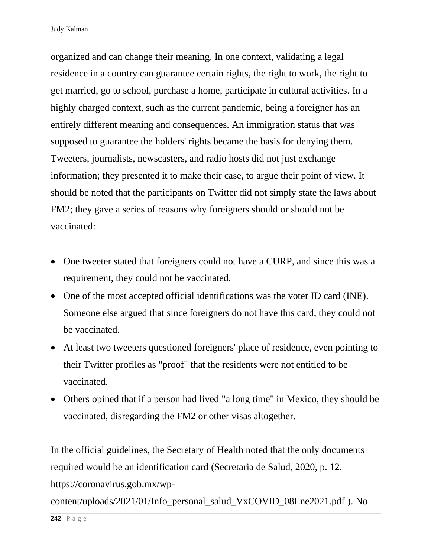organized and can change their meaning. In one context, validating a legal residence in a country can guarantee certain rights, the right to work, the right to get married, go to school, purchase a home, participate in cultural activities. In a highly charged context, such as the current pandemic, being a foreigner has an entirely different meaning and consequences. An immigration status that was supposed to guarantee the holders' rights became the basis for denying them. Tweeters, journalists, newscasters, and radio hosts did not just exchange information; they presented it to make their case, to argue their point of view. It should be noted that the participants on Twitter did not simply state the laws about FM2; they gave a series of reasons why foreigners should or should not be vaccinated:

- One tweeter stated that foreigners could not have a CURP, and since this was a requirement, they could not be vaccinated.
- One of the most accepted official identifications was the voter ID card (INE). Someone else argued that since foreigners do not have this card, they could not be vaccinated.
- At least two tweeters questioned foreigners' place of residence, even pointing to their Twitter profiles as "proof" that the residents were not entitled to be vaccinated.
- Others opined that if a person had lived "a long time" in Mexico, they should be vaccinated, disregarding the FM2 or other visas altogether.

In the official guidelines, the Secretary of Health noted that the only documents required would be an identification card (Secretaria de Salud, 2020, p. 12. https://coronavirus.gob.mx/wp-

content/uploads/2021/01/Info\_personal\_salud\_VxCOVID\_08Ene2021.pdf ). No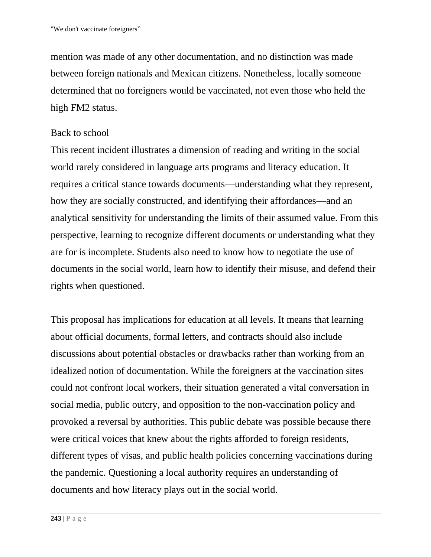mention was made of any other documentation, and no distinction was made between foreign nationals and Mexican citizens. Nonetheless, locally someone determined that no foreigners would be vaccinated, not even those who held the high FM2 status.

### Back to school

This recent incident illustrates a dimension of reading and writing in the social world rarely considered in language arts programs and literacy education. It requires a critical stance towards documents—understanding what they represent, how they are socially constructed, and identifying their affordances—and an analytical sensitivity for understanding the limits of their assumed value. From this perspective, learning to recognize different documents or understanding what they are for is incomplete. Students also need to know how to negotiate the use of documents in the social world, learn how to identify their misuse, and defend their rights when questioned.

This proposal has implications for education at all levels. It means that learning about official documents, formal letters, and contracts should also include discussions about potential obstacles or drawbacks rather than working from an idealized notion of documentation. While the foreigners at the vaccination sites could not confront local workers, their situation generated a vital conversation in social media, public outcry, and opposition to the non-vaccination policy and provoked a reversal by authorities. This public debate was possible because there were critical voices that knew about the rights afforded to foreign residents, different types of visas, and public health policies concerning vaccinations during the pandemic. Questioning a local authority requires an understanding of documents and how literacy plays out in the social world.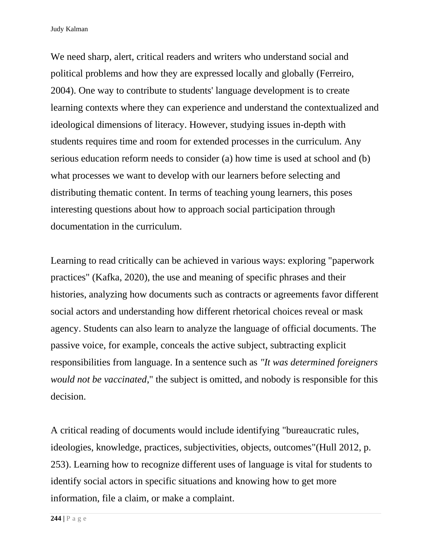Judy Kalman

We need sharp, alert, critical readers and writers who understand social and political problems and how they are expressed locally and globally (Ferreiro, 2004). One way to contribute to students' language development is to create learning contexts where they can experience and understand the contextualized and ideological dimensions of literacy. However, studying issues in-depth with students requires time and room for extended processes in the curriculum. Any serious education reform needs to consider (a) how time is used at school and (b) what processes we want to develop with our learners before selecting and distributing thematic content. In terms of teaching young learners, this poses interesting questions about how to approach social participation through documentation in the curriculum.

Learning to read critically can be achieved in various ways: exploring "paperwork practices" (Kafka, 2020), the use and meaning of specific phrases and their histories, analyzing how documents such as contracts or agreements favor different social actors and understanding how different rhetorical choices reveal or mask agency. Students can also learn to analyze the language of official documents. The passive voice, for example, conceals the active subject, subtracting explicit responsibilities from language. In a sentence such as *"It was determined foreigners would not be vaccinated*," the subject is omitted, and nobody is responsible for this decision.

A critical reading of documents would include identifying "bureaucratic rules, ideologies, knowledge, practices, subjectivities, objects, outcomes"(Hull 2012, p. 253). Learning how to recognize different uses of language is vital for students to identify social actors in specific situations and knowing how to get more information, file a claim, or make a complaint.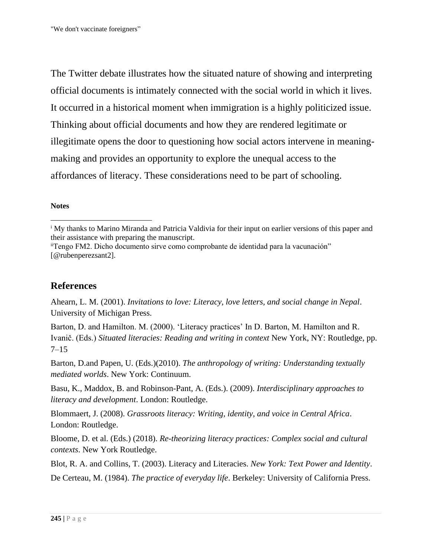The Twitter debate illustrates how the situated nature of showing and interpreting official documents is intimately connected with the social world in which it lives. It occurred in a historical moment when immigration is a highly politicized issue. Thinking about official documents and how they are rendered legitimate or illegitimate opens the door to questioning how social actors intervene in meaningmaking and provides an opportunity to explore the unequal access to the affordances of literacy. These considerations need to be part of schooling.

### **Notes**

### **References**

Ahearn, L. M. (2001). *Invitations to love: Literacy, love letters, and social change in Nepal*. University of Michigan Press.

Barton, D. and Hamilton. M. (2000). 'Literacy practices' In D. Barton, M. Hamilton and R. Ivanič. (Eds.) *Situated literacies: Reading and writing in context* New York, NY: Routledge, pp. 7–15

Barton, D.and Papen, U. (Eds.)(2010). *The anthropology of writing: Understanding textually mediated worlds*. New York: Continuum.

Basu, K., Maddox, B. and Robinson-Pant, A. (Eds.). (2009). *Interdisciplinary approaches to literacy and development*. London: Routledge.

Blommaert, J. (2008). *Grassroots literacy: Writing, identity, and voice in Central Africa*. London: Routledge.

Bloome, D. et al. (Eds.) (2018). *Re-theorizing literacy practices: Complex social and cultural contexts*. New York Routledge.

Blot, R. A. and Collins, T. (2003). Literacy and Literacies. *New York: Text Power and Identity*.

De Certeau, M. (1984). *The practice of everyday life*. Berkeley: University of California Press.

<sup>&</sup>lt;sup>i</sup> My thanks to Marino Miranda and Patricia Valdivia for their input on earlier versions of this paper and their assistance with preparing the manuscript.

iiTengo FM2. Dicho documento sirve como comprobante de identidad para la vacunación" [@rubenperezsant2].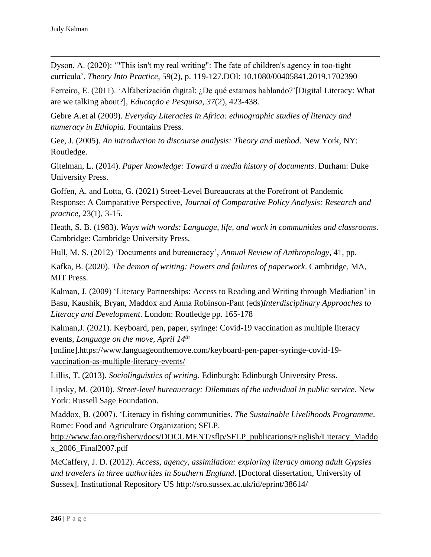Dyson, A. (2020): '"This isn't my real writing": The fate of children's agency in too-tight curricula', *Theory Into Practice*, 59(2), p. 119-127.DOI: 10.1080/00405841.2019.1702390

Ferreiro, E. (2011). 'Alfabetización digital: ¿De qué estamos hablando?'[Digital Literacy: What are we talking about?], *Educação e Pesquisa*, *37*(2), 423-438.

Gebre A.et al (2009). *Everyday Literacies in Africa: ethnographic studies of literacy and numeracy in Ethiopia.* Fountains Press.

Gee, J. (2005). *An introduction to discourse analysis: Theory and method*. New York, NY: Routledge.

Gitelman, L. (2014). *Paper knowledge: Toward a media history of documents*. Durham: Duke University Press.

Goffen, A. and Lotta, G. (2021) Street-Level Bureaucrats at the Forefront of Pandemic Response: A Comparative Perspective, *Journal of Comparative Policy Analysis: Research and practice*, 23(1), 3-15.

Heath, S. B. (1983). *Ways with words: Language, life, and work in communities and classrooms*. Cambridge: Cambridge University Press.

Hull, M. S. (2012) 'Documents and bureaucracy', *Annual Review of Anthropology*, 41, pp.

Kafka, B. (2020). *The demon of writing: Powers and failures of paperwork*. Cambridge, MA, MIT Press.

Kalman, J. (2009) 'Literacy Partnerships: Access to Reading and Writing through Mediation' in Basu, Kaushik, Bryan, Maddox and Anna Robinson-Pant (eds)*Interdisciplinary Approaches to Literacy and Development*. London: Routledge pp. 165-178

Kalman,J. (2021). Keyboard, pen, paper, syringe: Covid-19 vaccination as multiple literacy events, *Language on the move, April 14th*

[online][.https://www.languageonthemove.com/keyboard-pen-paper-syringe-covid-19](https://www.languageonthemove.com/keyboard-pen-paper-syringe-covid-19-vaccination-as-multiple-literacy-events/) [vaccination-as-multiple-literacy-events/](https://www.languageonthemove.com/keyboard-pen-paper-syringe-covid-19-vaccination-as-multiple-literacy-events/)

Lillis, T. (2013). *Sociolinguistics of writing*. Edinburgh: Edinburgh University Press.

Lipsky, M. (2010). *Street-level bureaucracy: Dilemmas of the individual in public service*. New York: Russell Sage Foundation.

Maddox, B. (2007). 'Literacy in fishing communities. *The Sustainable Livelihoods Programme*. Rome: Food and Agriculture Organization; SFLP[.](http://www.fao.org/fishery/docs/DOCUMENT/sflp/SFLP_publications/English/Literacy_Maddox_2006_Final2007.pdf)

[http://www.fao.org/fishery/docs/DOCUMENT/sflp/SFLP\\_publications/English/Literacy\\_Maddo](http://www.fao.org/fishery/docs/DOCUMENT/sflp/SFLP_publications/English/Literacy_Maddox_2006_Final2007.pdf) [x\\_2006\\_Final2007.pdf](http://www.fao.org/fishery/docs/DOCUMENT/sflp/SFLP_publications/English/Literacy_Maddox_2006_Final2007.pdf)

McCaffery, J. D. (2012). *Access, agency, assimilation: exploring literacy among adult Gypsies and travelers in three authorities in Southern England*. [Doctoral dissertation, University of Sussex]. Institutional Repository US<http://sro.sussex.ac.uk/id/eprint/38614/>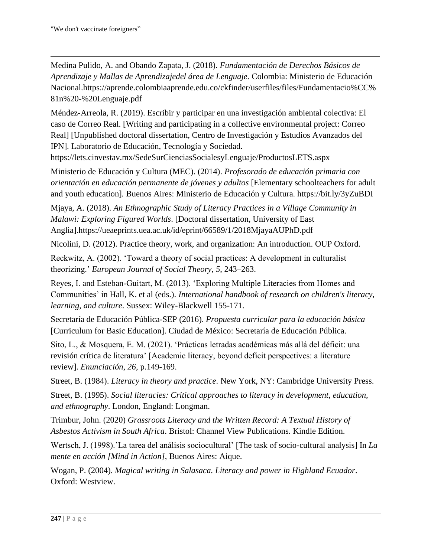Medina Pulido, A. and Obando Zapata, J. (2018). *Fundamentación de Derechos Básicos de Aprendizaje y Mallas de Aprendizajedel área de Lenguaje.* Colombia: Ministerio de Educación Nacional.https://aprende.colombiaaprende.edu.co/ckfinder/userfiles/files/Fundamentacio%CC% 81n%20-%20Lenguaje.pdf

Méndez-Arreola, R. (2019). Escribir y participar en una investigación ambiental colectiva: El caso de Correo Real. [Writing and participating in a collective environmental project: Correo Real] [Unpublished doctoral dissertation, Centro de Investigación y Estudios Avanzados del IPN]. Laboratorio de Educación, Tecnología y Sociedad.

<https://lets.cinvestav.mx/SedeSurCienciasSocialesyLenguaje/ProductosLETS.aspx>

Ministerio de Educación y Cultura (MEC). (2014). *Profesorado de educación primaria con orientación en educación permanente de jóvenes y adultos* [Elementary schoolteachers for adult and youth education]*.* Buenos Aires: Ministerio de Educación y Cultura. https://bit.ly/3yZuBDI

Mjaya, A. (2018). *An Ethnographic Study of Literacy Practices in a Village Community in Malawi: Exploring Figured Worlds*. [Doctoral dissertation, University of East Anglia][.https://ueaeprints.uea.ac.uk/id/eprint/66589/1/2018MjayaAUPhD.pdf](https://ueaeprints.uea.ac.uk/id/eprint/66589/1/2018MjayaAUPhD.pdf)

Nicolini, D. (2012). Practice theory, work, and organization: An introduction. OUP Oxford.

Reckwitz, A. (2002). 'Toward a theory of social practices: A development in culturalist theorizing.' *European Journal of Social Theory*, *5*, 243–263.

Reyes, I. and Esteban-Guitart, M. (2013). 'Exploring Multiple Literacies from Homes and Communities' in Hall, K. et al (eds.). *International handbook of research on children's literacy, learning, and culture*. Sussex: Wiley-Blackwell 155-171.

Secretaría de Educación Pública-SEP (2016). *Propuesta curricular para la educación básica* [Curriculum for Basic Education]. Ciudad de México: Secretaría de Educación Pública.

Sito, L., & Mosquera, E. M. (2021). 'Prácticas letradas académicas más allá del déficit: una revisión crítica de literatura' [Academic literacy, beyond deficit perspectives: a literature review]. *Enunciación*, *26*, p.149-169.

Street, B. (1984). *Literacy in theory and practice*. New York, NY: Cambridge University Press.

Street, B. (1995). *Social literacies: Critical approaches to literacy in development, education, and ethnography*. London, England: Longman.

Trimbur, John. (2020) *Grassroots Literacy and the Written Record: A Textual History of Asbestos Activism in South Africa*. Bristol: Channel View Publications. Kindle Edition.

Wertsch, J. (1998).'La tarea del análisis sociocultural' [The task of socio-cultural analysis] In *La mente en acción [Mind in Action]*, Buenos Aires: Aique.

Wogan, P. (2004). *Magical writing in Salasaca. Literacy and power in Highland Ecuador*. Oxford: Westview.